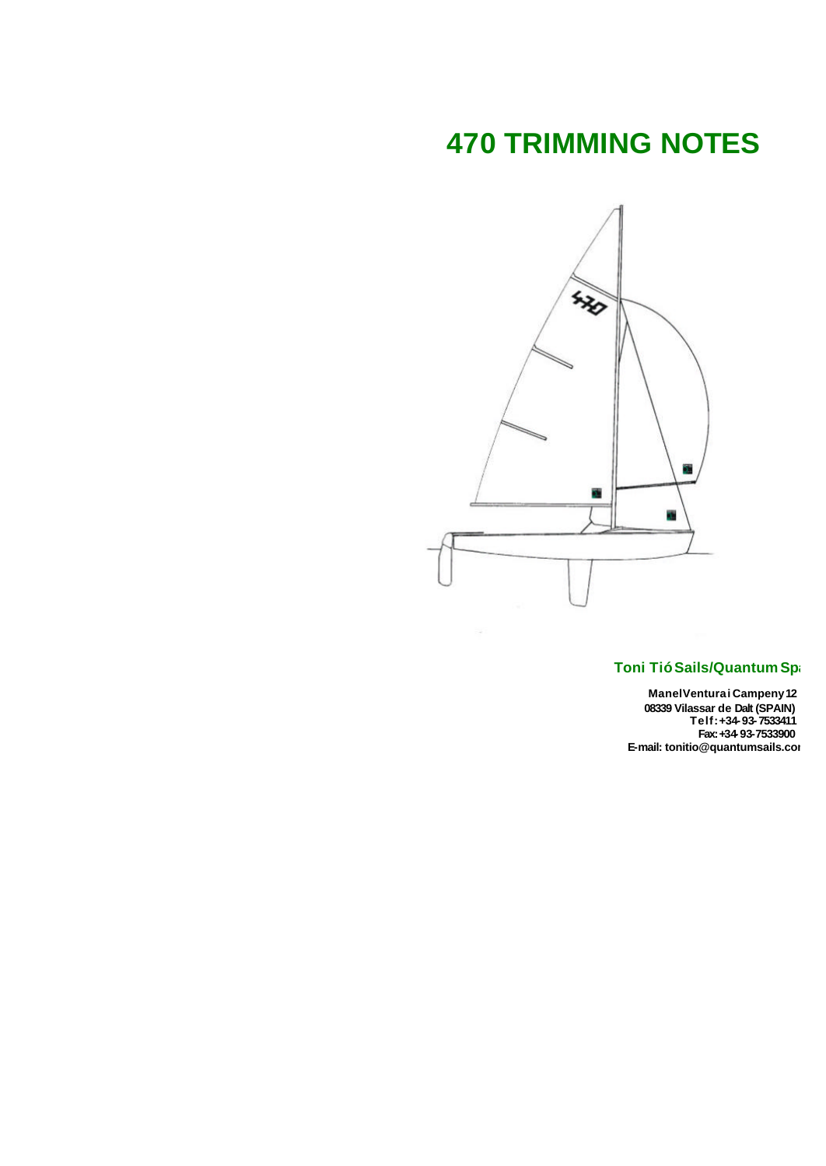# **470 TRIMMING NOTES**



### **Toni TióSails/Quantum Spain**

**ManelVenturai Campeny12 08339 Vilassar de Dalt (SPAIN) Telf:+34-93-7533411 Fax:+34-93-7533900 E-mail: tonitio@quantumsails.com**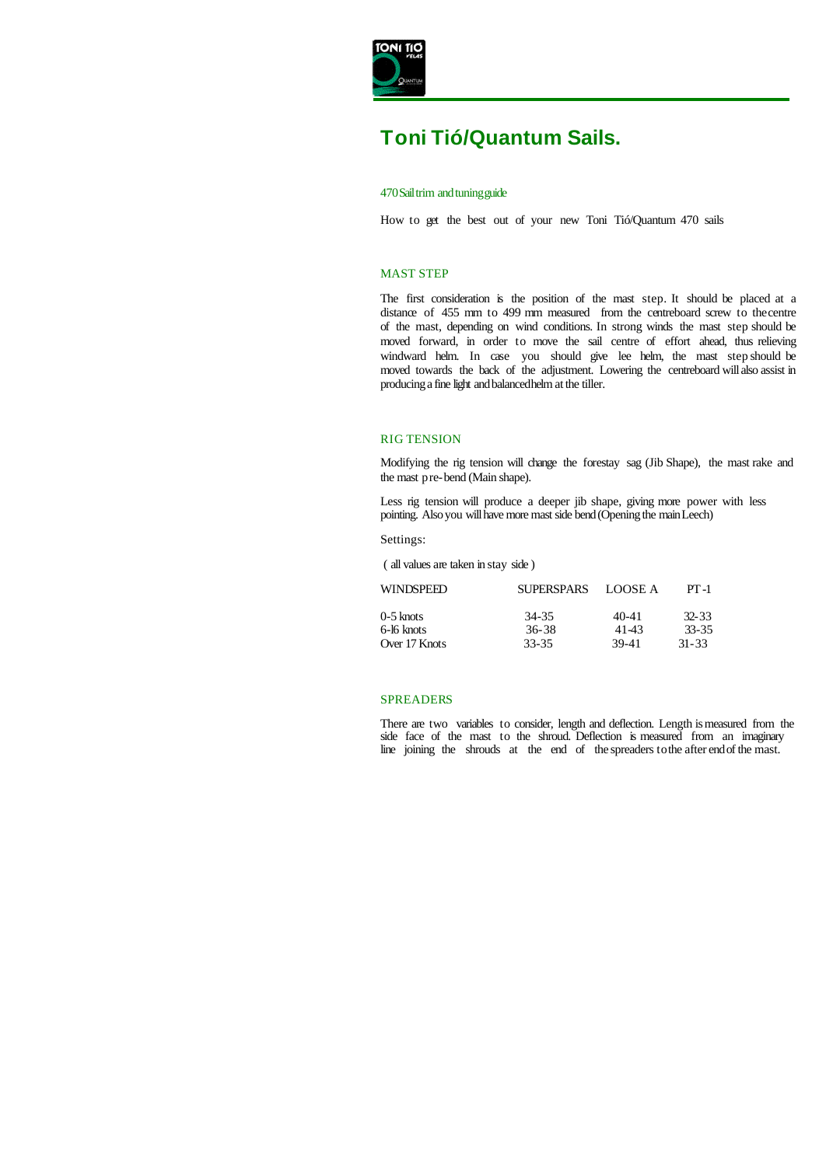

## **Toni Tió/Quantum Sails.**

#### 470Sailtrim andtuningguide

How to get the best out of your new Toni Tió/Quantum 470 sails

#### MAST STEP

The first consideration is the position of the mast step. It should be placed at a distance of 455 mm to 499 mm measured from the centreboard screw to the centre of the mast, depending on wind conditions. In strong winds the mast step should be moved forward, in order to move the sail centre of effort ahead, thus relieving windward helm. In case you should give lee helm, the mast step should be moved towards the back of the adjustment. Lowering the centreboard willalso assist in producinga fine light andbalancedhelm atthe tiller.

#### RIG TENSION

Modifying the rig tension will change the forestay sag (Jib Shape), the mast rake and the mast pre-bend (Main shape).

Less rig tension will produce a deeper jib shape, giving more power with less pointing. Also you will have more mast side bend (Opening the main Leech)

Settings:

( all values are taken in stay side )

| <b>WINDSPEED</b> | <b>SUPERSPARS</b> | LOOSE A   | $PT-1$    |  |
|------------------|-------------------|-----------|-----------|--|
| $0-5$ knots      | 34-35             | $40 - 41$ | $32 - 33$ |  |
| 6-16 knots       | 36-38             | 41-43     | 33-35     |  |
| Over 17 Knots    | 33-35             | 39-41     | $31 - 33$ |  |

#### SPREADERS

There are two variables to consider, length and deflection. Length is measured from the side face of the mast to the shroud. Deflection is measured from an imaginary line joining the shrouds at the end of the spreaders tothe after endof the mast.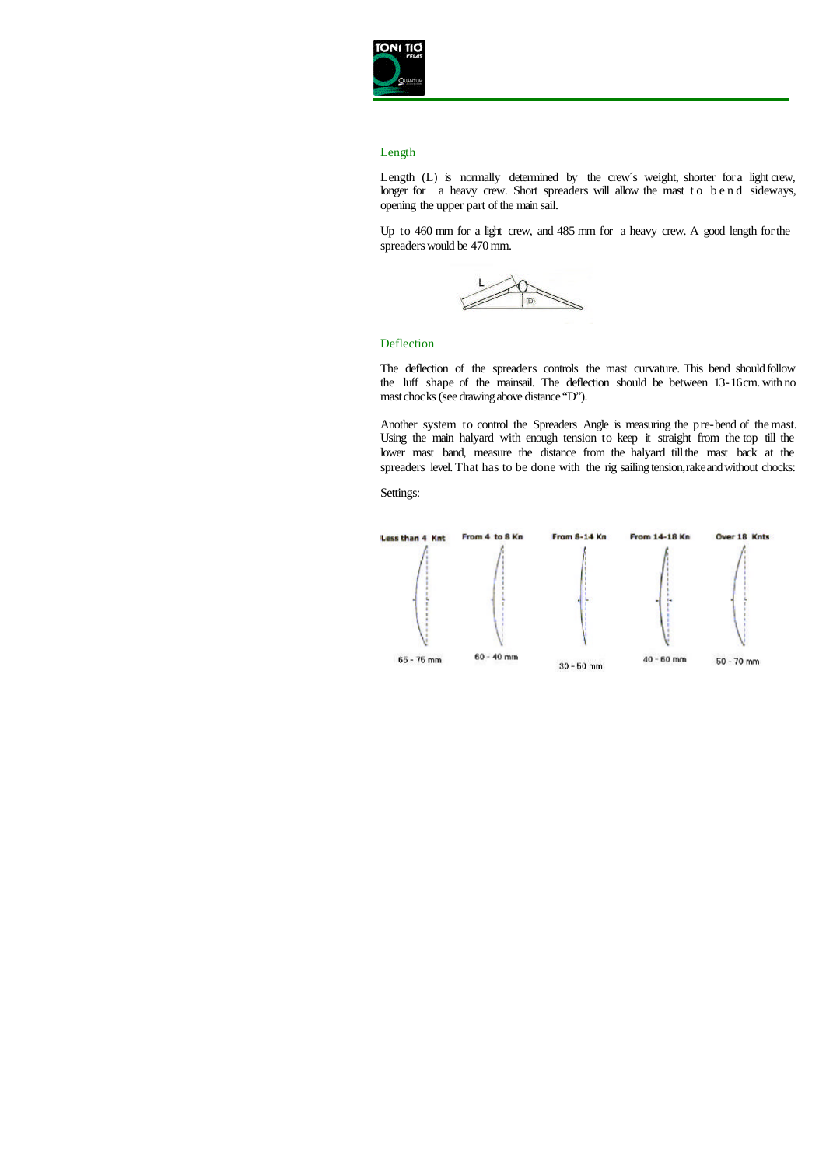

#### Length

Length (L) is normally determined by the crew's weight, shorter for a light crew, longer for a heavy crew. Short spreaders will allow the mast to bend sideways, opening the upper part of the main sail.

Up to 460 mm for a light crew, and 485 mm for a heavy crew. A good length for the spreaders would be 470mm.



#### Deflection

The deflection of the spreaders controls the mast curvature. This bend should follow the luff shape of the mainsail. The deflection should be between 13-16 cm. with no mast chocks (see drawing above distance "D").

Another system to control the Spreaders Angle is measuring the pre-bend of the mast. Using the main halyard with enough tension to keep it straight from the top till the lower mast band, measure the distance from the halyard till the mast back at the spreaders level. That has to be done with the rig sailing tension, rake and without chocks:

Settings: